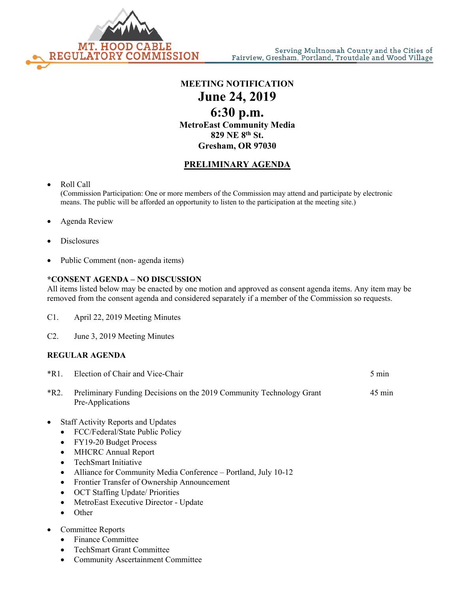

**MEETING NOTIFICATION June 24, 2019 6:30 p.m. MetroEast Community Media 829 NE 8th St. Gresham, OR 97030**

## **PRELIMINARY AGENDA**

• Roll Call

(Commission Participation: One or more members of the Commission may attend and participate by electronic means. The public will be afforded an opportunity to listen to the participation at the meeting site.)

- Agenda Review
- **Disclosures**
- Public Comment (non- agenda items)

## **\*CONSENT AGENDA – NO DISCUSSION**

All items listed below may be enacted by one motion and approved as consent agenda items. Any item may be removed from the consent agenda and considered separately if a member of the Commission so requests.

- C1. April 22, 2019 Meeting Minutes
- C2. June 3, 2019 Meeting Minutes

## **REGULAR AGENDA**

| *R1.      | Election of Chair and Vice-Chair                                                         | $5 \text{ min}$  |
|-----------|------------------------------------------------------------------------------------------|------------------|
| *R2.      | Preliminary Funding Decisions on the 2019 Community Technology Grant<br>Pre-Applications | $45 \text{ min}$ |
| $\bullet$ | <b>Staff Activity Reports and Updates</b>                                                |                  |

- FCC/Federal/State Public Policy
- FY19-20 Budget Process
- MHCRC Annual Report
- TechSmart Initiative
- Alliance for Community Media Conference Portland, July 10-12
- Frontier Transfer of Ownership Announcement
- OCT Staffing Update/ Priorities
- MetroEast Executive Director Update
- Other
- Committee Reports
	- Finance Committee
	- TechSmart Grant Committee
	- Community Ascertainment Committee